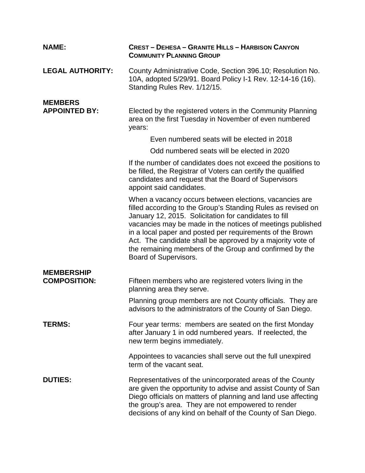| <b>NAME:</b>            | <b>CREST - DEHESA - GRANITE HILLS - HARBISON CANYON</b><br><b>COMMUNITY PLANNING GROUP</b>                                                                                                                                                                                                                                                                                                                                                                   |
|-------------------------|--------------------------------------------------------------------------------------------------------------------------------------------------------------------------------------------------------------------------------------------------------------------------------------------------------------------------------------------------------------------------------------------------------------------------------------------------------------|
| <b>LEGAL AUTHORITY:</b> | County Administrative Code, Section 396.10; Resolution No.<br>10A, adopted 5/29/91. Board Policy I-1 Rev. 12-14-16 (16).<br>Standing Rules Rev. 1/12/15.                                                                                                                                                                                                                                                                                                     |
| <b>MEMBERS</b>          |                                                                                                                                                                                                                                                                                                                                                                                                                                                              |
| <b>APPOINTED BY:</b>    | Elected by the registered voters in the Community Planning<br>area on the first Tuesday in November of even numbered<br>years:                                                                                                                                                                                                                                                                                                                               |
|                         | Even numbered seats will be elected in 2018                                                                                                                                                                                                                                                                                                                                                                                                                  |
|                         | Odd numbered seats will be elected in 2020                                                                                                                                                                                                                                                                                                                                                                                                                   |
|                         | If the number of candidates does not exceed the positions to<br>be filled, the Registrar of Voters can certify the qualified<br>candidates and request that the Board of Supervisors<br>appoint said candidates.                                                                                                                                                                                                                                             |
|                         | When a vacancy occurs between elections, vacancies are<br>filled according to the Group's Standing Rules as revised on<br>January 12, 2015. Solicitation for candidates to fill<br>vacancies may be made in the notices of meetings published<br>in a local paper and posted per requirements of the Brown<br>Act. The candidate shall be approved by a majority vote of<br>the remaining members of the Group and confirmed by the<br>Board of Supervisors. |
| <b>MEMBERSHIP</b>       |                                                                                                                                                                                                                                                                                                                                                                                                                                                              |
| <b>COMPOSITION:</b>     | Fifteen members who are registered voters living in the<br>planning area they serve.                                                                                                                                                                                                                                                                                                                                                                         |
|                         | Planning group members are not County officials. They are<br>advisors to the administrators of the County of San Diego.                                                                                                                                                                                                                                                                                                                                      |
| <b>TERMS:</b>           | Four year terms: members are seated on the first Monday<br>after January 1 in odd numbered years. If reelected, the<br>new term begins immediately.                                                                                                                                                                                                                                                                                                          |
|                         | Appointees to vacancies shall serve out the full unexpired<br>term of the vacant seat.                                                                                                                                                                                                                                                                                                                                                                       |
| <b>DUTIES:</b>          | Representatives of the unincorporated areas of the County<br>are given the opportunity to advise and assist County of San<br>Diego officials on matters of planning and land use affecting<br>the group's area. They are not empowered to render<br>decisions of any kind on behalf of the County of San Diego.                                                                                                                                              |